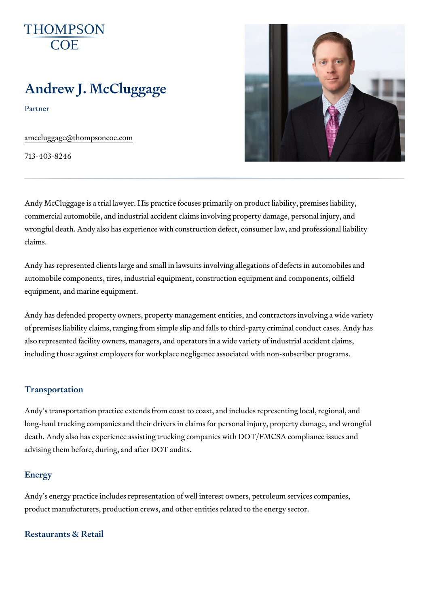# Andrew J. McCluggage

Partner

[amccluggage@thomp](mailto:amccluggage@thompsoncoe.com)soncoe.com

713-403-8246

Andy McCluggage is a trial lawyer. His practice focuses primarily on produ commercial automobile, and industrial accident claims involving property d wrongful death. Andy also has experience with construction defect, consum claims.

Andy has represented clients large and small in lawsuits involving allegati automobile components, tires, industrial equipment, construction equipment equipment, and marine equipment.

Andy has defended property owners, property management entities, and co of premises liability claims, ranging from simple slip and falls to third-par also represented facility owners, managers, and operators in a wide variet including those against employers for workplace negligence associated wit

#### Transportation

Andy s transportation practice extends from coast to coast, and includes r long-haul trucking companies and their drivers in claims for personal injur death. Andy also has experience assisting trucking companies with DOT/FN advising them before, during, and after DOT audits.

#### Energy

Andy s energy practice includes representation of well interest owners, pe product manufacturers, production crews, and other entities related to the

Restaurants & Retail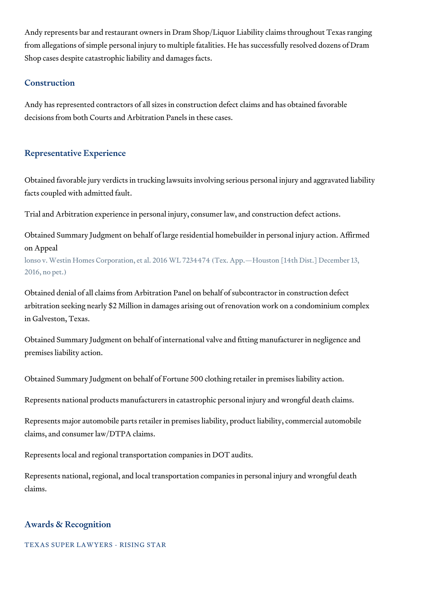Andy represents bar and restaurant owners in Dram Shop/Liquor Liability claims throughout Texas ranging from allegations of simple personal injury to multiple fatalities. He has successfully resolved dozens of Dram Shop cases despite catastrophic liability and damages facts.

# Construction

Andy has represented contractors of all sizes in construction defect claims and has obtained favorable decisions from both Courts and Arbitration Panels in these cases.

## Representative Experience

Obtained favorable jury verdicts in trucking lawsuits involving serious personal injury and aggravated liability facts coupled with admitted fault.

Trial and Arbitration experience in personal injury, consumer law, and construction defect actions.

Obtained Summary Judgment on behalf of large residential homebuilder in personal injury action. Affirmed on Appeal

lonso v. Westin Homes Corporation, et al. 2016 WL 7234474 (Tex. App.—Houston [14th Dist.] December 13, 2016, no pet.)

Obtained denial of all claims from Arbitration Panel on behalf of subcontractor in construction defect arbitration seeking nearly \$2 Million in damages arising out of renovation work on a condominium complex in Galveston, Texas.

Obtained Summary Judgment on behalf of international valve and fitting manufacturer in negligence and premises liability action.

Obtained Summary Judgment on behalf of Fortune 500 clothing retailer in premises liability action.

Represents national products manufacturers in catastrophic personal injury and wrongful death claims.

Represents major automobile parts retailer in premises liability, product liability, commercial automobile claims, and consumer law/DTPA claims.

Represents local and regional transportation companies in DOT audits.

Represents national, regional, and local transportation companies in personal injury and wrongful death claims.

## Awards & Recognition

TEXAS SUPER LAWYERS - RISING STAR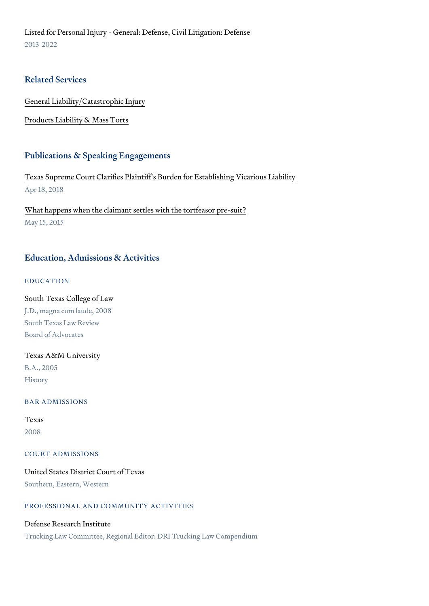Listed for Personal Injury - General: Defense, Civil Litigation: Defense 2013-2022

#### Related Services

[General Liability/Catas](https://www.thompsoncoe.com/people/andrew-j-mccluggage/)trophic Injury

[Products Liability &](https://www.thompsoncoe.com/people/andrew-j-mccluggage/) Mass Torts

#### Publications & Speaking Engagements

[Texas Supreme Court Clarifies Plaintiff s Burden f](https://www.thompsoncoe.com/resources/publications/texas-supreme-court-clarifies-plaintiffs-burden-for-establishing-vicarious-liability/)or Establishing Vicariou Apr 18, 2018

[What happens when the claimant settles](https://www.thompsoncoe.com/resources/publications/what-happens-when-the-claimant-settles-with-the-tortfeasor-pre-suit/) with the tortfeasor pre-suit? May 15, 2015

# Education, Admissions & Activities

EDUCATION

South Texas College of Law J.D., magna cum laude, 2008 South Texas Law Review Board of Advocates

Texas A&M University B.A., 2005 History

BAR ADMISSIONS

### Texas 2008

COURT ADMISSIONS

United States District Court of Texas Southern, Eastern, Western

PROFESSIONAL AND COMMUNITY ACTIVITIES

Defense Research Institute Trucking Law Committee, Regional Editor: DRI Trucking Law Compendium